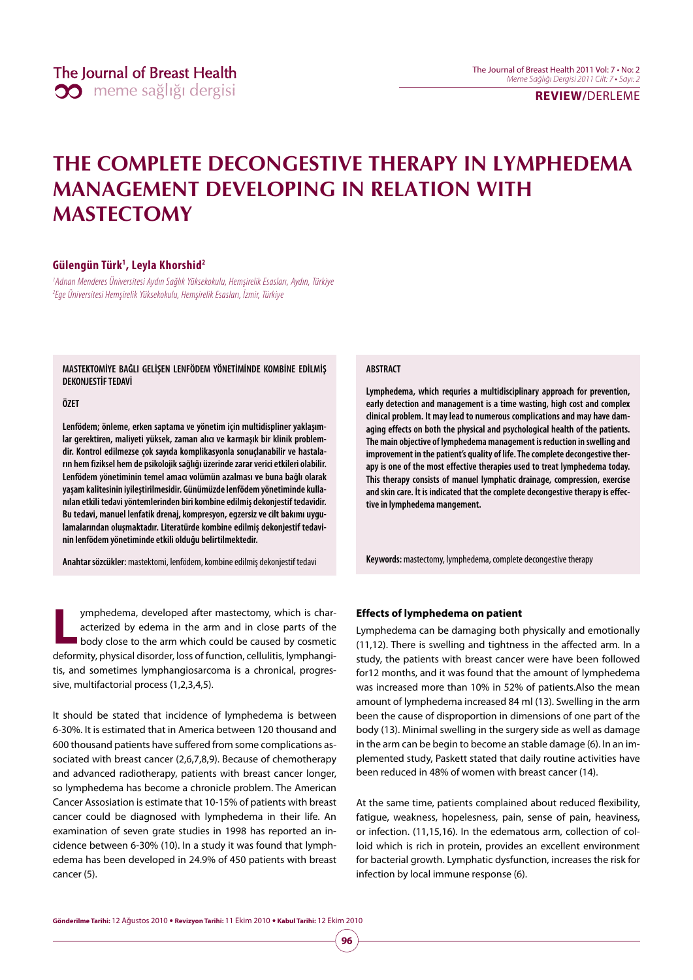**REVIEW/**DERLEME

# **THE COMPLETE DECONGESTIVE THERAPY IN LYMPHEDEMA MANAGEMENT DEVELOPING IN RELATION WITH MASTECTOMY**

#### **Gülengün Türk1 , Leyla Khorshid2**

1 Adnan Menderes Üniversitesi Aydın Sağlık Yüksekokulu, Hemşirelik Esasları, Aydın, Türkiye 2 Ege Üniversitesi Hemşirelik Yüksekokulu, Hemşirelik Esasları, İzmir, Türkiye

**MASTEKTOMİYE BAĞLI GELİŞEN LENFÖDEM YÖNETİMİNDE KOMBİNE EDİLMİŞ DEKONJESTİF TEDAVİ**

#### **ÖZET**

**Lenfödem; önleme, erken saptama ve yönetim için multidispliner yaklaşımlar gerektiren, maliyeti yüksek, zaman alıcı ve karmaşık bir klinik problemdir. Kontrol edilmezse çok sayıda komplikasyonla sonuçlanabilir ve hastaların hem fiziksel hem de psikolojik sağlığı üzerinde zarar verici etkileri olabilir. Lenfödem yönetiminin temel amacı volümün azalması ve buna bağlı olarak yaşam kalitesinin iyileştirilmesidir. Günümüzde lenfödem yönetiminde kullanılan etkili tedavi yöntemlerinden biri kombine edilmiş dekonjestif tedavidir. Bu tedavi, manuel lenfatik drenaj, kompresyon, egzersiz ve cilt bakımı uygulamalarından oluşmaktadır. Literatürde kombine edilmiş dekonjestif tedavinin lenfödem yönetiminde etkili olduğu belirtilmektedir.** 

**Anahtar sözcükler:** mastektomi, lenfödem, kombine edilmiş dekonjestif tedavi

**Lacktrist 20 and SI and SI and SI and SI and SI and SI and SI and SI and SI and SI and SI body close to the arm which could be caused by cosmetic and SI and SI and SI and SI and SI and SI and SI and SI and SI and SI and S** acterized by edema in the arm and in close parts of the deformity, physical disorder, loss of function, cellulitis, lymphangitis, and sometimes lymphangiosarcoma is a chronical, progressive, multifactorial process (1,2,3,4,5).

It should be stated that incidence of lymphedema is between 6-30%. It is estimated that in America between 120 thousand and 600 thousand patients have suffered from some complications associated with breast cancer (2,6,7,8,9). Because of chemotherapy and advanced radiotherapy, patients with breast cancer longer, so lymphedema has become a chronicle problem. The American Cancer Assosiation is estimate that 10-15% of patients with breast cancer could be diagnosed with lymphedema in their life. An examination of seven grate studies in 1998 has reported an incidence between 6-30% (10). In a study it was found that lymphedema has been developed in 24.9% of 450 patients with breast cancer (5).

#### **ABSTRACT**

**Lymphedema, which requries a multidisciplinary approach for prevention, early detection and management is a time wasting, high cost and complex clinical problem. It may lead to numerous complications and may have damaging effects on both the physical and psychological health of the patients. The main objective of lymphedema management is reduction in swelling and improvement in the patient's quality of life. The complete decongestive therapy is one of the most effective therapies used to treat lymphedema today. This therapy consists of manuel lymphatic drainage, compression, exercise and skin care. İt is indicated that the complete decongestive therapy is effective in lymphedema mangement.** 

**Keywords:** mastectomy, lymphedema, complete decongestive therapy

#### **Effects of lymphedema on patient**

Lymphedema can be damaging both physically and emotionally (11,12). There is swelling and tightness in the affected arm. In a study, the patients with breast cancer were have been followed for12 months, and it was found that the amount of lymphedema was increased more than 10% in 52% of patients.Also the mean amount of lymphedema increased 84 ml (13). Swelling in the arm been the cause of disproportion in dimensions of one part of the body (13). Minimal swelling in the surgery side as well as damage in the arm can be begin to become an stable damage (6). In an implemented study, Paskett stated that daily routine activities have been reduced in 48% of women with breast cancer (14).

At the same time, patients complained about reduced flexibility, fatigue, weakness, hopelesness, pain, sense of pain, heaviness, or infection. (11,15,16). In the edematous arm, collection of colloid which is rich in protein, provides an excellent environment for bacterial growth. Lymphatic dysfunction, increases the risk for infection by local immune response (6).

**96**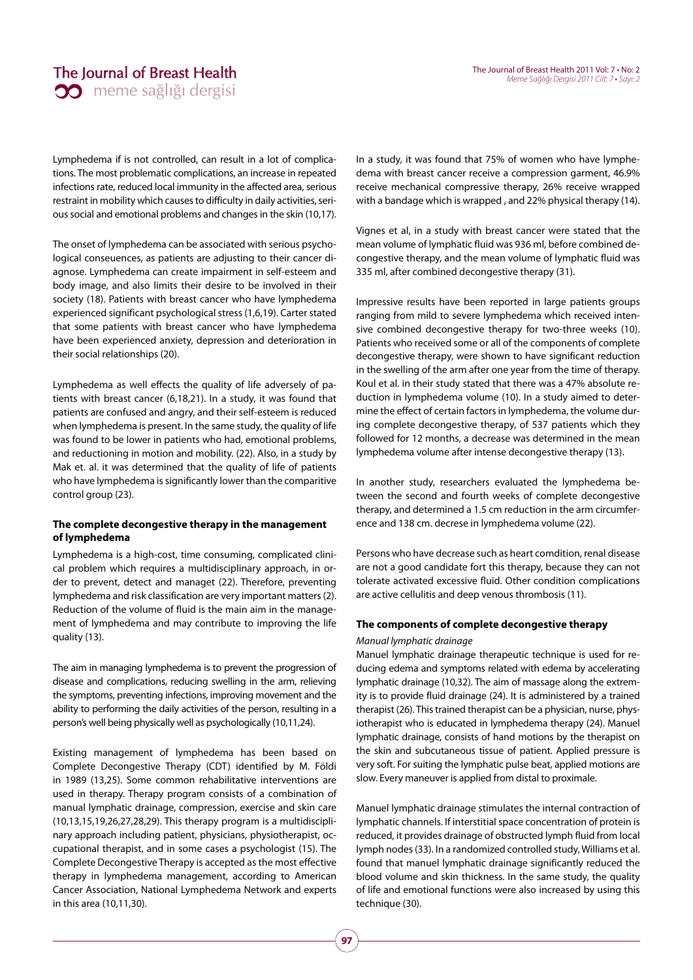### The Journal of Breast Health **00** meme sağlığı dergisi

Lymphedema if is not controlled, can result in a lot of complications. The most problematic complications, an increase in repeated infections rate, reduced local immunity in the affected area, serious restraint in mobility which causes to difficulty in daily activities, serious social and emotional problems and changes in the skin (10,17).

The onset of lymphedema can be associated with serious psychological conseuences, as patients are adjusting to their cancer diagnose. Lymphedema can create impairment in self-esteem and body image, and also limits their desire to be involved in their society (18). Patients with breast cancer who have lymphedema experienced significant psychological stress (1,6,19). Carter stated that some patients with breast cancer who have lymphedema have been experienced anxiety, depression and deterioration in their social relationships (20).

Lymphedema as well effects the quality of life adversely of patients with breast cancer (6,18,21). In a study, it was found that patients are confused and angry, and their self-esteem is reduced when lymphedema is present. In the same study, the quality of life was found to be lower in patients who had, emotional problems, and reductioning in motion and mobility. (22). Also, in a study by Mak et. al. it was determined that the quality of life of patients who have lymphedema is significantly lower than the comparitive control group (23).

#### **The complete decongestive therapy in the management of lymphedema**

Lymphedema is a high-cost, time consuming, complicated clinical problem which requires a multidisciplinary approach, in order to prevent, detect and managet (22). Therefore, preventing lymphedema and risk classification are very important matters (2). Reduction of the volume of fluid is the main aim in the management of lymphedema and may contribute to improving the life quality (13).

The aim in managing lymphedema is to prevent the progression of disease and complications, reducing swelling in the arm, relieving the symptoms, preventing infections, improving movement and the ability to performing the daily activities of the person, resulting in a person's well being physically well as psychologically (10,11,24).

Existing management of lymphedema has been based on Complete Decongestive Therapy (CDT) identified by M. Földi in 1989 (13,25). Some common rehabilitative interventions are used in therapy. Therapy program consists of a combination of manual lymphatic drainage, compression, exercise and skin care (10,13,15,19,26,27,28,29). This therapy program is a multidisciplinary approach including patient, physicians, physiotherapist, occupational therapist, and in some cases a psychologist (15). The Complete Decongestive Therapy is accepted as the most effective therapy in lymphedema management, according to American Cancer Association, National Lymphedema Network and experts in this area (10,11,30).

In a study, it was found that 75% of women who have lymphedema with breast cancer receive a compression garment, 46.9% receive mechanical compressive therapy, 26% receive wrapped with a bandage which is wrapped , and 22% physical therapy (14).

Vignes et al, in a study with breast cancer were stated that the mean volume of lymphatic fluid was 936 ml, before combined decongestive therapy, and the mean volume of lymphatic fluid was 335 ml, after combined decongestive therapy (31).

Impressive results have been reported in large patients groups ranging from mild to severe lymphedema which received intensive combined decongestive therapy for two-three weeks (10). Patients who received some or all of the components of complete decongestive therapy, were shown to have significant reduction in the swelling of the arm after one year from the time of therapy. Koul et al. in their study stated that there was a 47% absolute reduction in lymphedema volume (10). In a study aimed to determine the effect of certain factors in lymphedema, the volume during complete decongestive therapy, of 537 patients which they followed for 12 months, a decrease was determined in the mean lymphedema volume after intense decongestive therapy (13).

In another study, researchers evaluated the lymphedema between the second and fourth weeks of complete decongestive therapy, and determined a 1.5 cm reduction in the arm circumference and 138 cm. decrese in lymphedema volume (22).

Persons who have decrease such as heart comdition, renal disease are not a good candidate fort this therapy, because they can not tolerate activated excessive fluid. Other condition complications are active cellulitis and deep venous thrombosis (11).

#### **The components of complete decongestive therapy**

#### Manual lymphatic drainage

Manuel lymphatic drainage therapeutic technique is used for reducing edema and symptoms related with edema by accelerating lymphatic drainage (10,32). The aim of massage along the extremity is to provide fluid drainage (24). It is administered by a trained therapist (26). This trained therapist can be a physician, nurse, physiotherapist who is educated in lymphedema therapy (24). Manuel lymphatic drainage, consists of hand motions by the therapist on the skin and subcutaneous tissue of patient. Applied pressure is very soft. For suiting the lymphatic pulse beat, applied motions are slow. Every maneuver is applied from distal to proximale.

Manuel lymphatic drainage stimulates the internal contraction of lymphatic channels. If interstitial space concentration of protein is reduced, it provides drainage of obstructed lymph fluid from local lymph nodes (33). In a randomized controlled study, Williams et al. found that manuel lymphatic drainage significantly reduced the blood volume and skin thickness. In the same study, the quality of life and emotional functions were also increased by using this technique (30).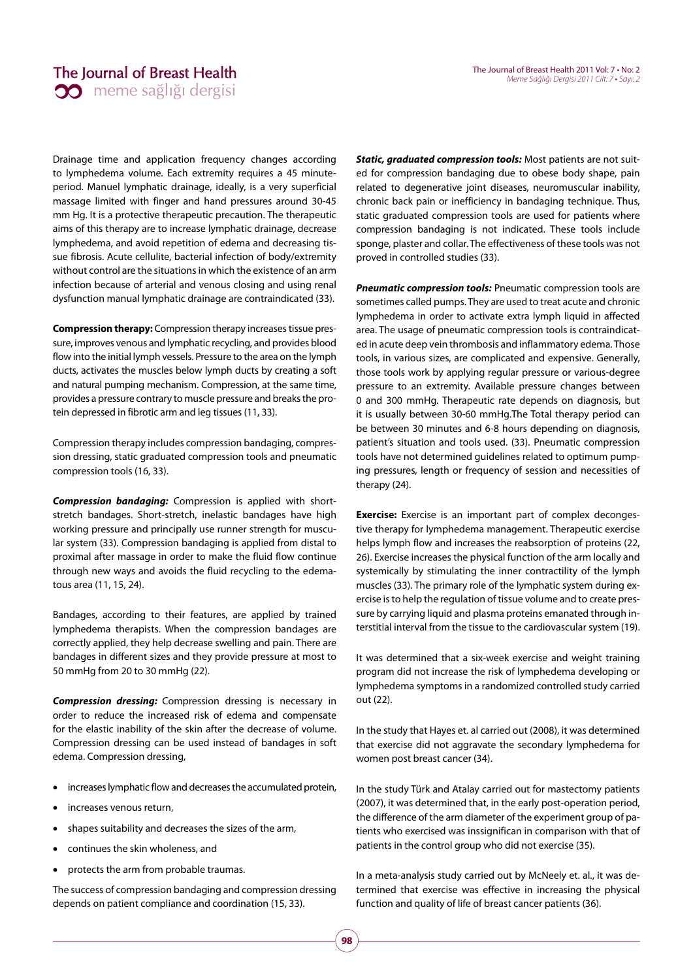# The Journal of Breast Health **30** meme sağlığı dergisi

Drainage time and application frequency changes according to lymphedema volume. Each extremity requires a 45 minuteperiod. Manuel lymphatic drainage, ideally, is a very superficial massage limited with finger and hand pressures around 30-45 mm Hg. It is a protective therapeutic precaution. The therapeutic aims of this therapy are to increase lymphatic drainage, decrease lymphedema, and avoid repetition of edema and decreasing tissue fibrosis. Acute cellulite, bacterial infection of body/extremity without control are the situations in which the existence of an arm infection because of arterial and venous closing and using renal dysfunction manual lymphatic drainage are contraindicated (33).

**Compression therapy:** Compression therapy increases tissue pressure, improves venous and lymphatic recycling, and provides blood flow into the initial lymph vessels. Pressure to the area on the lymph ducts, activates the muscles below lymph ducts by creating a soft and natural pumping mechanism. Compression, at the same time, provides a pressure contrary to muscle pressure and breaks the protein depressed in fibrotic arm and leg tissues (11, 33).

Compression therapy includes compression bandaging, compression dressing, static graduated compression tools and pneumatic compression tools (16, 33).

*Compression bandaging:* Compression is applied with shortstretch bandages. Short-stretch, inelastic bandages have high working pressure and principally use runner strength for muscular system (33). Compression bandaging is applied from distal to proximal after massage in order to make the fluid flow continue through new ways and avoids the fluid recycling to the edematous area (11, 15, 24).

Bandages, according to their features, are applied by trained lymphedema therapists. When the compression bandages are correctly applied, they help decrease swelling and pain. There are bandages in different sizes and they provide pressure at most to 50 mmHg from 20 to 30 mmHg (22).

*Compression dressing:* Compression dressing is necessary in order to reduce the increased risk of edema and compensate for the elastic inability of the skin after the decrease of volume. Compression dressing can be used instead of bandages in soft edema. Compression dressing,

- increases lymphatic flow and decreases the accumulated protein,
- increases venous return,
- shapes suitability and decreases the sizes of the arm,
- continues the skin wholeness, and
- protects the arm from probable traumas.

The success of compression bandaging and compression dressing depends on patient compliance and coordination (15, 33).

*Static, graduated compression tools:* Most patients are not suited for compression bandaging due to obese body shape, pain related to degenerative joint diseases, neuromuscular inability, chronic back pain or inefficiency in bandaging technique. Thus, static graduated compression tools are used for patients where compression bandaging is not indicated. These tools include sponge, plaster and collar. The effectiveness of these tools was not proved in controlled studies (33).

*Pneumatic compression tools:* Pneumatic compression tools are sometimes called pumps. They are used to treat acute and chronic lymphedema in order to activate extra lymph liquid in affected area. The usage of pneumatic compression tools is contraindicated in acute deep vein thrombosis and inflammatory edema. Those tools, in various sizes, are complicated and expensive. Generally, those tools work by applying regular pressure or various-degree pressure to an extremity. Available pressure changes between 0 and 300 mmHg. Therapeutic rate depends on diagnosis, but it is usually between 30-60 mmHg.The Total therapy period can be between 30 minutes and 6-8 hours depending on diagnosis, patient's situation and tools used. (33). Pneumatic compression tools have not determined guidelines related to optimum pumping pressures, length or frequency of session and necessities of therapy (24).

**Exercise:** Exercise is an important part of complex decongestive therapy for lymphedema management. Therapeutic exercise helps lymph flow and increases the reabsorption of proteins (22, 26). Exercise increases the physical function of the arm locally and systemically by stimulating the inner contractility of the lymph muscles (33). The primary role of the lymphatic system during exercise is to help the regulation of tissue volume and to create pressure by carrying liquid and plasma proteins emanated through interstitial interval from the tissue to the cardiovascular system (19).

It was determined that a six-week exercise and weight training program did not increase the risk of lymphedema developing or lymphedema symptoms in a randomized controlled study carried out (22).

In the study that Hayes et. al carried out (2008), it was determined that exercise did not aggravate the secondary lymphedema for women post breast cancer (34).

In the study Türk and Atalay carried out for mastectomy patients (2007), it was determined that, in the early post-operation period, the difference of the arm diameter of the experiment group of patients who exercised was inssignifican in comparison with that of patients in the control group who did not exercise (35).

In a meta-analysis study carried out by McNeely et. al., it was determined that exercise was effective in increasing the physical function and quality of life of breast cancer patients (36).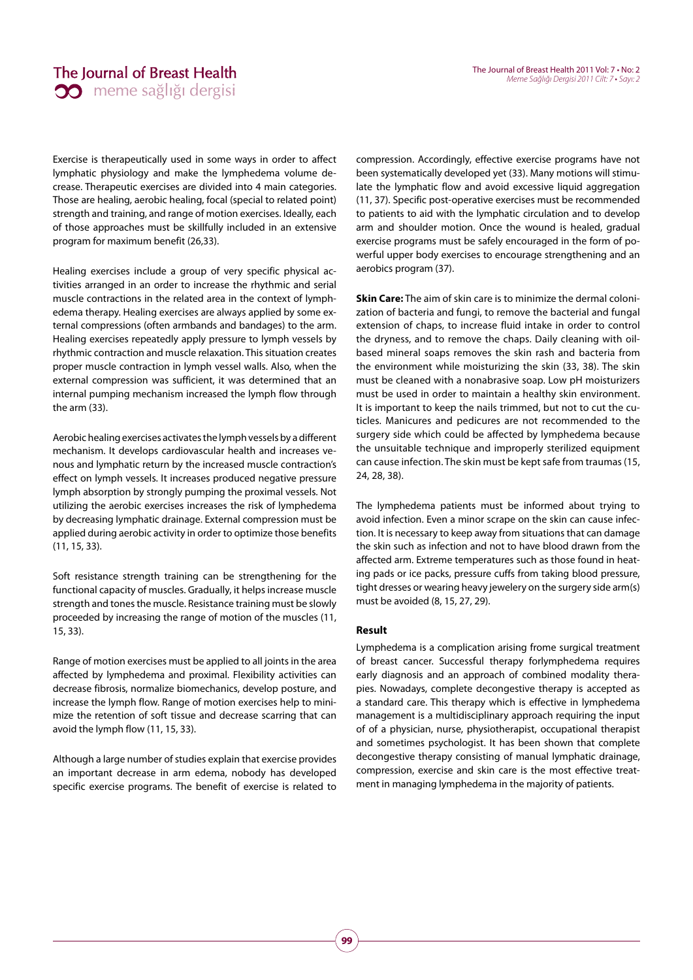## The Journal of Breast Health **00** meme sağlığı dergisi

Exercise is therapeutically used in some ways in order to affect lymphatic physiology and make the lymphedema volume decrease. Therapeutic exercises are divided into 4 main categories. Those are healing, aerobic healing, focal (special to related point) strength and training, and range of motion exercises. Ideally, each of those approaches must be skillfully included in an extensive program for maximum benefit (26,33).

Healing exercises include a group of very specific physical activities arranged in an order to increase the rhythmic and serial muscle contractions in the related area in the context of lymphedema therapy. Healing exercises are always applied by some external compressions (often armbands and bandages) to the arm. Healing exercises repeatedly apply pressure to lymph vessels by rhythmic contraction and muscle relaxation. This situation creates proper muscle contraction in lymph vessel walls. Also, when the external compression was sufficient, it was determined that an internal pumping mechanism increased the lymph flow through the arm (33).

Aerobic healing exercises activates the lymph vessels by a different mechanism. It develops cardiovascular health and increases venous and lymphatic return by the increased muscle contraction's effect on lymph vessels. It increases produced negative pressure lymph absorption by strongly pumping the proximal vessels. Not utilizing the aerobic exercises increases the risk of lymphedema by decreasing lymphatic drainage. External compression must be applied during aerobic activity in order to optimize those benefits (11, 15, 33).

Soft resistance strength training can be strengthening for the functional capacity of muscles. Gradually, it helps increase muscle strength and tones the muscle. Resistance training must be slowly proceeded by increasing the range of motion of the muscles (11, 15, 33).

Range of motion exercises must be applied to all joints in the area affected by lymphedema and proximal. Flexibility activities can decrease fibrosis, normalize biomechanics, develop posture, and increase the lymph flow. Range of motion exercises help to minimize the retention of soft tissue and decrease scarring that can avoid the lymph flow (11, 15, 33).

Although a large number of studies explain that exercise provides an important decrease in arm edema, nobody has developed specific exercise programs. The benefit of exercise is related to

compression. Accordingly, effective exercise programs have not been systematically developed yet (33). Many motions will stimulate the lymphatic flow and avoid excessive liquid aggregation (11, 37). Specific post-operative exercises must be recommended to patients to aid with the lymphatic circulation and to develop arm and shoulder motion. Once the wound is healed, gradual exercise programs must be safely encouraged in the form of powerful upper body exercises to encourage strengthening and an aerobics program (37).

**Skin Care:** The aim of skin care is to minimize the dermal colonization of bacteria and fungi, to remove the bacterial and fungal extension of chaps, to increase fluid intake in order to control the dryness, and to remove the chaps. Daily cleaning with oilbased mineral soaps removes the skin rash and bacteria from the environment while moisturizing the skin (33, 38). The skin must be cleaned with a nonabrasive soap. Low pH moisturizers must be used in order to maintain a healthy skin environment. It is important to keep the nails trimmed, but not to cut the cuticles. Manicures and pedicures are not recommended to the surgery side which could be affected by lymphedema because the unsuitable technique and improperly sterilized equipment can cause infection. The skin must be kept safe from traumas (15, 24, 28, 38).

The lymphedema patients must be informed about trying to avoid infection. Even a minor scrape on the skin can cause infection. It is necessary to keep away from situations that can damage the skin such as infection and not to have blood drawn from the affected arm. Extreme temperatures such as those found in heating pads or ice packs, pressure cuffs from taking blood pressure, tight dresses or wearing heavy jewelery on the surgery side arm(s) must be avoided (8, 15, 27, 29).

#### **Result**

Lymphedema is a complication arising frome surgical treatment of breast cancer. Successful therapy forlymphedema requires early diagnosis and an approach of combined modality therapies. Nowadays, complete decongestive therapy is accepted as a standard care. This therapy which is effective in lymphedema management is a multidisciplinary approach requiring the input of of a physician, nurse, physiotherapist, occupational therapist and sometimes psychologist. It has been shown that complete decongestive therapy consisting of manual lymphatic drainage, compression, exercise and skin care is the most effective treatment in managing lymphedema in the majority of patients.